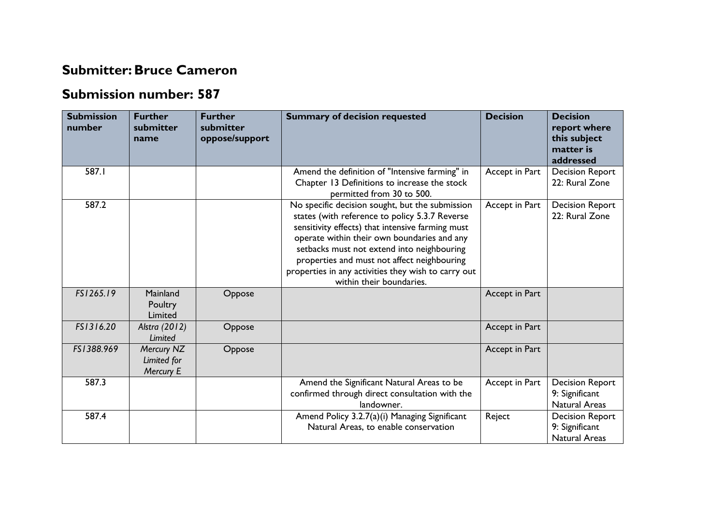## **Submitter:Bruce Cameron**

## **Submission number: 587**

| <b>Submission</b><br>number | <b>Further</b><br>submitter<br>name    | <b>Further</b><br>submitter<br>oppose/support | <b>Summary of decision requested</b>                                                                                                                                                                                                                                                                                                                                                 | <b>Decision</b> | <b>Decision</b><br>report where<br>this subject<br>matter is<br>addressed |
|-----------------------------|----------------------------------------|-----------------------------------------------|--------------------------------------------------------------------------------------------------------------------------------------------------------------------------------------------------------------------------------------------------------------------------------------------------------------------------------------------------------------------------------------|-----------------|---------------------------------------------------------------------------|
| 587.I                       |                                        |                                               | Amend the definition of "Intensive farming" in<br>Chapter 13 Definitions to increase the stock<br>permitted from 30 to 500.                                                                                                                                                                                                                                                          | Accept in Part  | <b>Decision Report</b><br>22: Rural Zone                                  |
| 587.2                       |                                        |                                               | No specific decision sought, but the submission<br>states (with reference to policy 5.3.7 Reverse<br>sensitivity effects) that intensive farming must<br>operate within their own boundaries and any<br>setbacks must not extend into neighbouring<br>properties and must not affect neighbouring<br>properties in any activities they wish to carry out<br>within their boundaries. | Accept in Part  | <b>Decision Report</b><br>22: Rural Zone                                  |
| FS1265.19                   | Mainland<br>Poultry<br>Limited         | Oppose                                        |                                                                                                                                                                                                                                                                                                                                                                                      | Accept in Part  |                                                                           |
| FS1316.20                   | Alstra (2012)<br>Limited               | Oppose                                        |                                                                                                                                                                                                                                                                                                                                                                                      | Accept in Part  |                                                                           |
| FS1388.969                  | Mercury NZ<br>Limited for<br>Mercury E | Oppose                                        |                                                                                                                                                                                                                                                                                                                                                                                      | Accept in Part  |                                                                           |
| 587.3                       |                                        |                                               | Amend the Significant Natural Areas to be<br>confirmed through direct consultation with the<br>landowner.                                                                                                                                                                                                                                                                            | Accept in Part  | <b>Decision Report</b><br>9: Significant<br>Natural Areas                 |
| 587.4                       |                                        |                                               | Amend Policy 3.2.7(a)(i) Managing Significant<br>Natural Areas, to enable conservation                                                                                                                                                                                                                                                                                               | Reject          | <b>Decision Report</b><br>9: Significant<br><b>Natural Areas</b>          |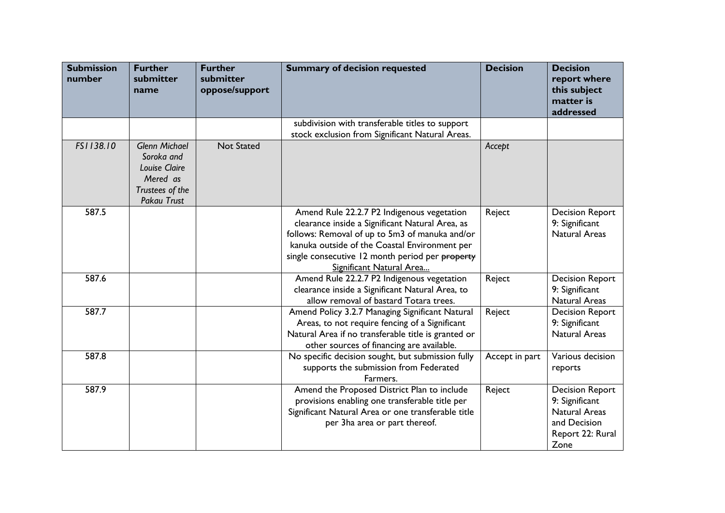| <b>Submission</b><br>number | <b>Further</b><br>submitter<br>name                                                               | <b>Further</b><br>submitter<br>oppose/support | <b>Summary of decision requested</b>                                                                                                                                                                                                                                            | <b>Decision</b> | <b>Decision</b><br>report where<br>this subject<br>matter is<br>addressed                                    |
|-----------------------------|---------------------------------------------------------------------------------------------------|-----------------------------------------------|---------------------------------------------------------------------------------------------------------------------------------------------------------------------------------------------------------------------------------------------------------------------------------|-----------------|--------------------------------------------------------------------------------------------------------------|
|                             |                                                                                                   |                                               | subdivision with transferable titles to support<br>stock exclusion from Significant Natural Areas.                                                                                                                                                                              |                 |                                                                                                              |
| FS1138.10                   | <b>Glenn Michael</b><br>Soroka and<br>Louise Claire<br>Mered as<br>Trustees of the<br>Pakau Trust | <b>Not Stated</b>                             |                                                                                                                                                                                                                                                                                 | Accept          |                                                                                                              |
| 587.5                       |                                                                                                   |                                               | Amend Rule 22.2.7 P2 Indigenous vegetation<br>clearance inside a Significant Natural Area, as<br>follows: Removal of up to 5m3 of manuka and/or<br>kanuka outside of the Coastal Environment per<br>single consecutive 12 month period per property<br>Significant Natural Area | Reject          | <b>Decision Report</b><br>9: Significant<br><b>Natural Areas</b>                                             |
| 587.6                       |                                                                                                   |                                               | Amend Rule 22.2.7 P2 Indigenous vegetation<br>clearance inside a Significant Natural Area, to<br>allow removal of bastard Totara trees.                                                                                                                                         | Reject          | <b>Decision Report</b><br>9: Significant<br><b>Natural Areas</b>                                             |
| 587.7                       |                                                                                                   |                                               | Amend Policy 3.2.7 Managing Significant Natural<br>Areas, to not require fencing of a Significant<br>Natural Area if no transferable title is granted or<br>other sources of financing are available.                                                                           | Reject          | <b>Decision Report</b><br>9: Significant<br><b>Natural Areas</b>                                             |
| 587.8                       |                                                                                                   |                                               | No specific decision sought, but submission fully<br>supports the submission from Federated<br>Farmers.                                                                                                                                                                         | Accept in part  | Various decision<br>reports                                                                                  |
| 587.9                       |                                                                                                   |                                               | Amend the Proposed District Plan to include<br>provisions enabling one transferable title per<br>Significant Natural Area or one transferable title<br>per 3ha area or part thereof.                                                                                            | Reject          | <b>Decision Report</b><br>9: Significant<br><b>Natural Areas</b><br>and Decision<br>Report 22: Rural<br>Zone |